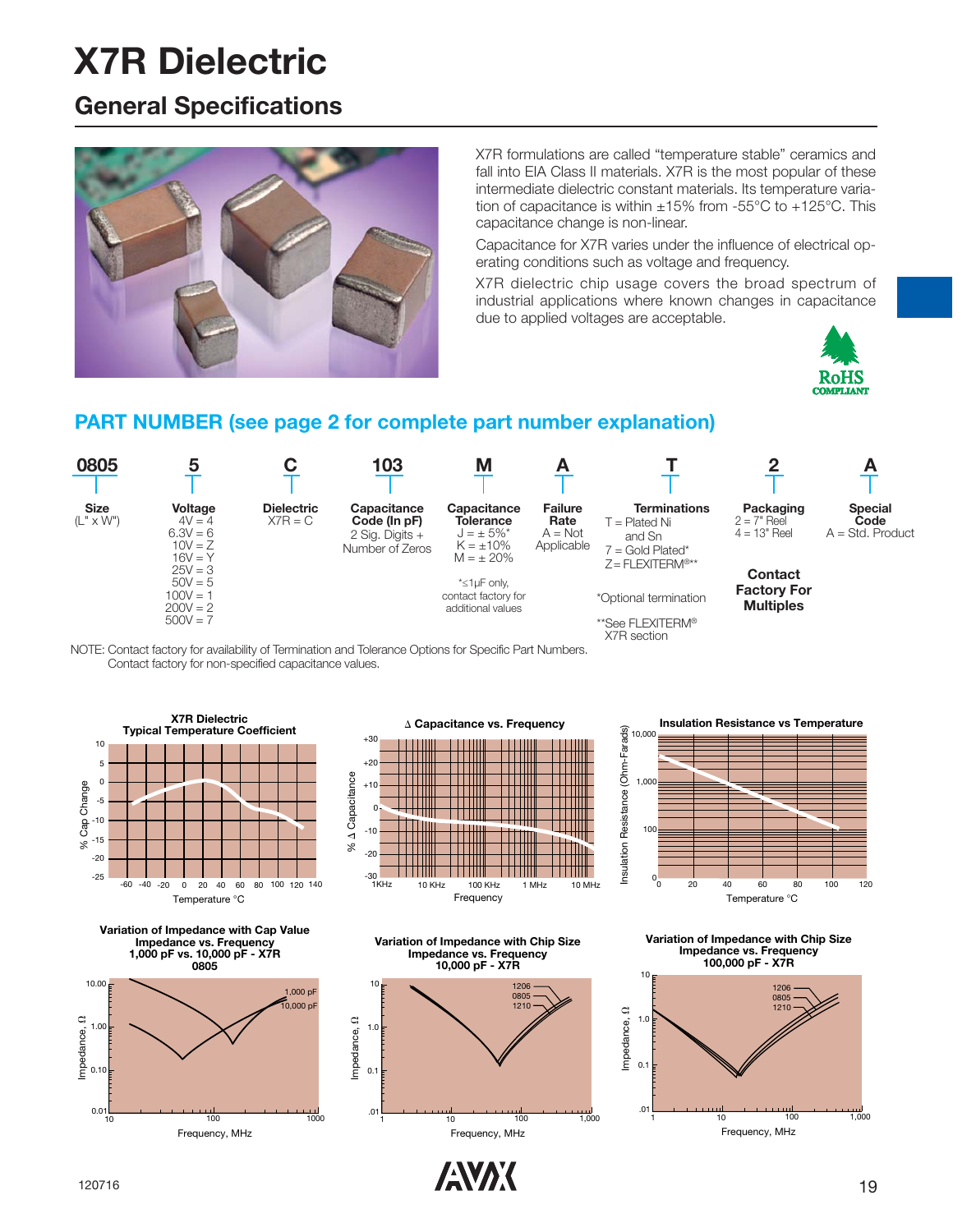### **General Specifications**



X7R formulations are called "temperature stable" ceramics and fall into EIA Class II materials. X7R is the most popular of these intermediate dielectric constant materials. Its temperature variation of capacitance is within  $\pm 15\%$  from -55°C to +125°C. This capacitance change is non-linear.

Capacitance for X7R varies under the influence of electrical operating conditions such as voltage and frequency.

X7R dielectric chip usage covers the broad spectrum of industrial applications where known changes in capacitance due to applied voltages are acceptable.



#### **PART NUMBER (see page 2 for complete part number explanation)**



NOTE: Contact factory for availability of Termination and Tolerance Options for Specific Part Numbers. Contact factory for non-specified capacitance values.











**Insulation Resistance vs Temperature**



**Variation of Impedance with Chip Size Impedance vs. Frequency 100,000 pF - X7R**



 $\sqrt{N}$  120716 19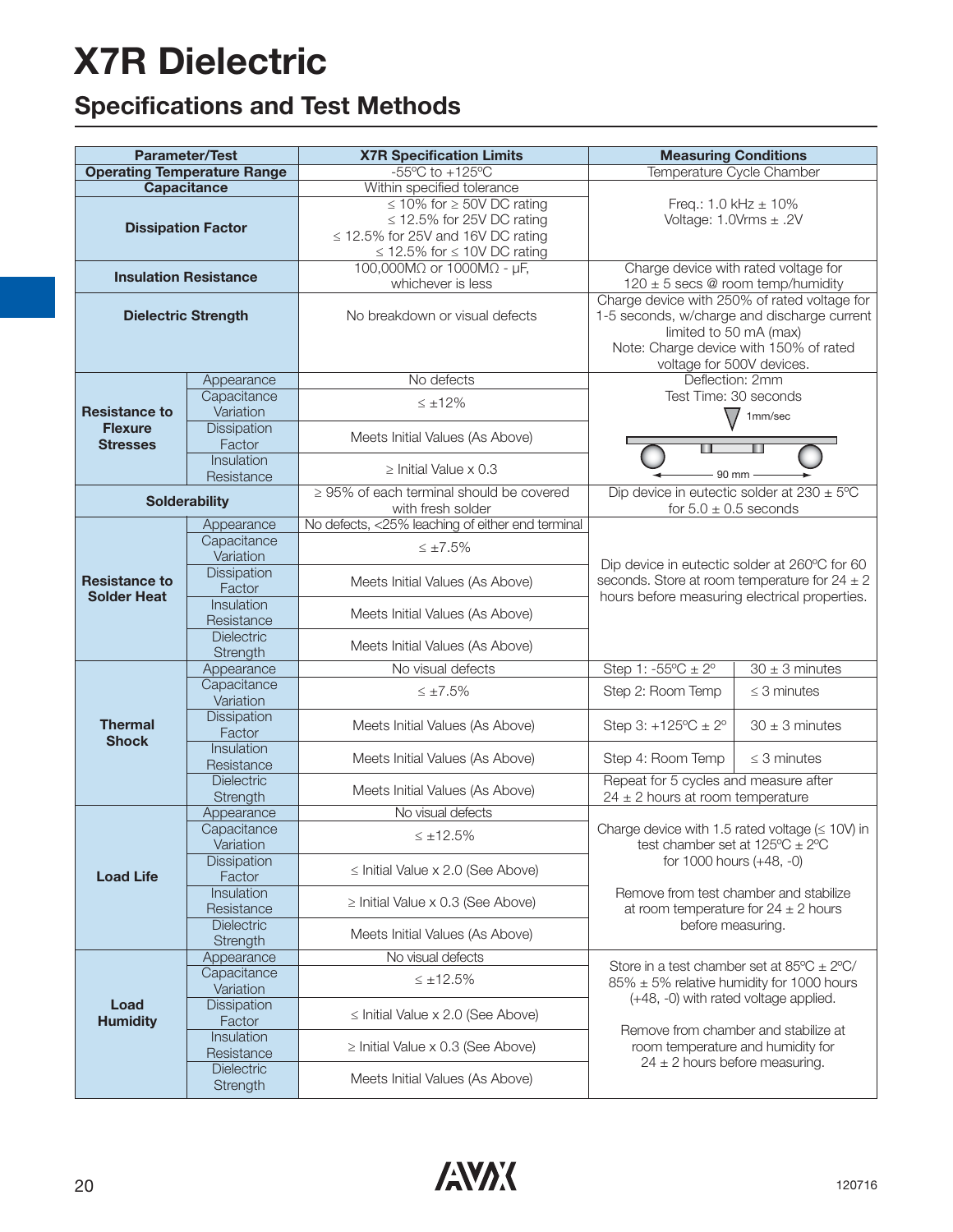## **Specifications and Test Methods**

| <b>Parameter/Test</b>                           |                               | <b>X7R Specification Limits</b>                                                                                                                                                        | <b>Measuring Conditions</b>                                                                                                                                                                  |                    |  |  |  |  |  |  |
|-------------------------------------------------|-------------------------------|----------------------------------------------------------------------------------------------------------------------------------------------------------------------------------------|----------------------------------------------------------------------------------------------------------------------------------------------------------------------------------------------|--------------------|--|--|--|--|--|--|
| <b>Operating Temperature Range</b>              |                               | $-55^{\circ}$ C to $+125^{\circ}$ C                                                                                                                                                    | Temperature Cycle Chamber                                                                                                                                                                    |                    |  |  |  |  |  |  |
| <b>Capacitance</b><br><b>Dissipation Factor</b> |                               | Within specified tolerance<br>$\leq$ 10% for $\geq$ 50V DC rating<br>$\leq$ 12.5% for 25V DC rating<br>$\leq$ 12.5% for 25V and 16V DC rating<br>$\leq$ 12.5% for $\leq$ 10V DC rating | Freq.: $1.0$ kHz $\pm$ 10%<br>Voltage: $1.0Vrms \pm .2V$                                                                                                                                     |                    |  |  |  |  |  |  |
| <b>Insulation Resistance</b>                    |                               | 100,000M $\Omega$ or 1000M $\Omega$ - µF,<br>whichever is less                                                                                                                         | Charge device with rated voltage for<br>$120 \pm 5$ secs @ room temp/humidity                                                                                                                |                    |  |  |  |  |  |  |
| <b>Dielectric Strength</b>                      |                               | No breakdown or visual defects                                                                                                                                                         | Charge device with 250% of rated voltage for<br>1-5 seconds, w/charge and discharge current<br>limited to 50 mA (max)<br>Note: Charge device with 150% of rated<br>voltage for 500V devices. |                    |  |  |  |  |  |  |
|                                                 | Appearance                    | No defects                                                                                                                                                                             | Deflection: 2mm                                                                                                                                                                              |                    |  |  |  |  |  |  |
| <b>Resistance to</b>                            | Capacitance<br>Variation      | $\leq \pm 12\%$                                                                                                                                                                        | Test Time: 30 seconds<br>$\sqrt{}$                                                                                                                                                           | 1mm/sec            |  |  |  |  |  |  |
| <b>Flexure</b><br><b>Stresses</b>               | Dissipation<br>Factor         | Meets Initial Values (As Above)                                                                                                                                                        |                                                                                                                                                                                              |                    |  |  |  |  |  |  |
|                                                 | Insulation<br>Resistance      | $\geq$ Initial Value x 0.3                                                                                                                                                             | 90 mm                                                                                                                                                                                        |                    |  |  |  |  |  |  |
|                                                 | <b>Solderability</b>          | $\geq$ 95% of each terminal should be covered<br>with fresh solder                                                                                                                     | Dip device in eutectic solder at $230 \pm 5^{\circ}$ C<br>for $5.0 \pm 0.5$ seconds                                                                                                          |                    |  |  |  |  |  |  |
|                                                 | Appearance                    | No defects, <25% leaching of either end terminal                                                                                                                                       |                                                                                                                                                                                              |                    |  |  |  |  |  |  |
|                                                 | Capacitance                   | $\leq \pm 7.5\%$                                                                                                                                                                       | Dip device in eutectic solder at 260°C for 60                                                                                                                                                |                    |  |  |  |  |  |  |
|                                                 | Variation                     |                                                                                                                                                                                        |                                                                                                                                                                                              |                    |  |  |  |  |  |  |
| <b>Resistance to</b><br><b>Solder Heat</b>      | Dissipation<br>Factor         | Meets Initial Values (As Above)                                                                                                                                                        | seconds. Store at room temperature for $24 \pm 2$                                                                                                                                            |                    |  |  |  |  |  |  |
|                                                 | Insulation                    |                                                                                                                                                                                        | hours before measuring electrical properties.                                                                                                                                                |                    |  |  |  |  |  |  |
|                                                 | Resistance                    | Meets Initial Values (As Above)                                                                                                                                                        |                                                                                                                                                                                              |                    |  |  |  |  |  |  |
|                                                 | <b>Dielectric</b>             | Meets Initial Values (As Above)                                                                                                                                                        |                                                                                                                                                                                              |                    |  |  |  |  |  |  |
|                                                 | Strength                      | No visual defects                                                                                                                                                                      | Step 1: $-55^{\circ}C \pm 2^{\circ}$                                                                                                                                                         | $30 \pm 3$ minutes |  |  |  |  |  |  |
|                                                 | Appearance<br>Capacitance     |                                                                                                                                                                                        |                                                                                                                                                                                              |                    |  |  |  |  |  |  |
|                                                 | Variation                     | $\leq \pm 7.5\%$                                                                                                                                                                       | Step 2: Room Temp                                                                                                                                                                            | $\leq$ 3 minutes   |  |  |  |  |  |  |
| <b>Thermal</b>                                  | Dissipation<br>Factor         | Meets Initial Values (As Above)                                                                                                                                                        | Step 3: $+125^{\circ}C \pm 2^{\circ}$<br>$30 \pm 3$ minutes                                                                                                                                  |                    |  |  |  |  |  |  |
| <b>Shock</b>                                    | Insulation<br>Resistance      | Meets Initial Values (As Above)                                                                                                                                                        | Step 4: Room Temp                                                                                                                                                                            | $\leq$ 3 minutes   |  |  |  |  |  |  |
|                                                 | <b>Dielectric</b>             |                                                                                                                                                                                        | Repeat for 5 cycles and measure after                                                                                                                                                        |                    |  |  |  |  |  |  |
|                                                 | Strength                      | Meets Initial Values (As Above)                                                                                                                                                        | $24 \pm 2$ hours at room temperature                                                                                                                                                         |                    |  |  |  |  |  |  |
|                                                 | Appearance                    | No visual defects                                                                                                                                                                      |                                                                                                                                                                                              |                    |  |  |  |  |  |  |
|                                                 | Capacitance<br>Variation      | $\leq \pm 12.5\%$                                                                                                                                                                      | Charge device with 1.5 rated voltage $(\leq 10V)$ in<br>test chamber set at $125^{\circ}C \pm 2^{\circ}C$                                                                                    |                    |  |  |  |  |  |  |
| <b>Load Life</b>                                | <b>Dissipation</b><br>Factor  | $\le$ Initial Value x 2.0 (See Above)                                                                                                                                                  | for 1000 hours (+48, -0)                                                                                                                                                                     |                    |  |  |  |  |  |  |
|                                                 | Insulation<br>Resistance      | $\geq$ Initial Value x 0.3 (See Above)                                                                                                                                                 | Remove from test chamber and stabilize<br>at room temperature for $24 \pm 2$ hours                                                                                                           |                    |  |  |  |  |  |  |
|                                                 | Dielectric<br>Strength        | Meets Initial Values (As Above)                                                                                                                                                        | before measuring.                                                                                                                                                                            |                    |  |  |  |  |  |  |
|                                                 | Appearance                    | No visual defects                                                                                                                                                                      | Store in a test chamber set at $85^{\circ}$ C $\pm$ 2°C/                                                                                                                                     |                    |  |  |  |  |  |  |
|                                                 | Capacitance<br>Variation      | $\leq \pm 12.5\%$                                                                                                                                                                      | $85\% \pm 5\%$ relative humidity for 1000 hours                                                                                                                                              |                    |  |  |  |  |  |  |
| Load<br><b>Humidity</b>                         | <b>Dissipation</b><br>Factor  | $\le$ Initial Value x 2.0 (See Above)                                                                                                                                                  | (+48, -0) with rated voltage applied.                                                                                                                                                        |                    |  |  |  |  |  |  |
|                                                 | Insulation<br>Resistance      | $\ge$ Initial Value x 0.3 (See Above)                                                                                                                                                  | Remove from chamber and stabilize at<br>room temperature and humidity for                                                                                                                    |                    |  |  |  |  |  |  |
|                                                 | <b>Dielectric</b><br>Strength | Meets Initial Values (As Above)                                                                                                                                                        | $24 \pm 2$ hours before measuring.                                                                                                                                                           |                    |  |  |  |  |  |  |

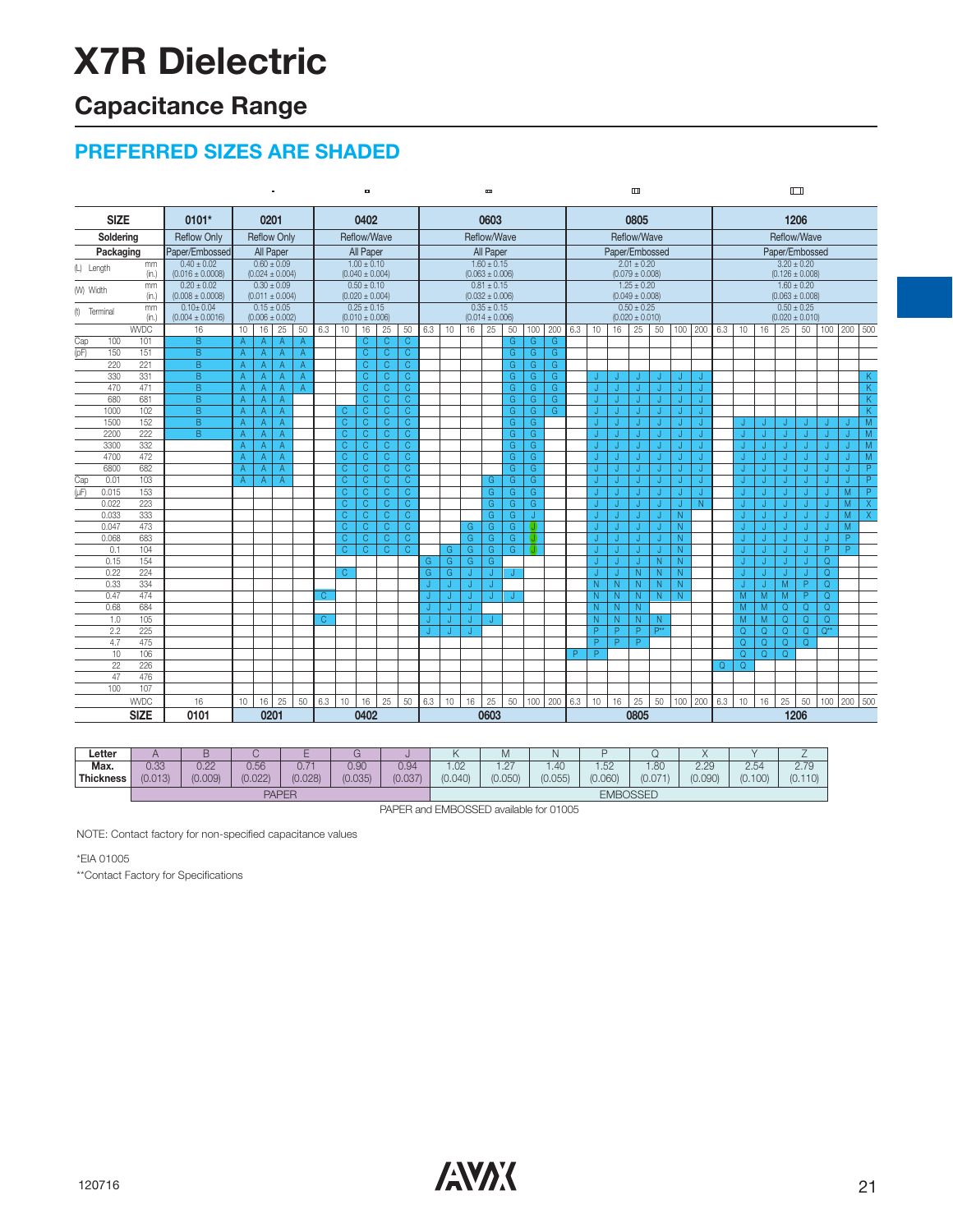### **Capacitance Range**

### **PREFERRED SIZES ARE SHADED**

| 1206<br><b>SIZE</b><br>0101*<br>0402<br>0603<br>0805<br>0201<br>Reflow/Wave<br>Reflow/Wave<br>Reflow/Wave<br>Soldering<br><b>Reflow Only</b><br><b>Reflow Only</b><br>Reflow/Wave<br>All Paper<br>Paper/Embossed<br>Paper/Embossed<br>Paper/Embossed<br>All Paper<br>All Paper<br>Packaging<br>$0.60 \pm 0.09$<br>$1.00 \pm 0.10$<br>$1.60 \pm 0.15$<br>$2.01 \pm 0.20$<br>$3.20 \pm 0.20$<br>$0.40 \pm 0.02$<br>mm<br>(L) Length<br>$(0.063 \pm 0.006)$<br>(in.)<br>$(0.016 \pm 0.0008)$<br>$(0.024 \pm 0.004)$<br>$(0.040 \pm 0.004)$<br>$(0.079 \pm 0.008)$<br>$(0.126 \pm 0.008)$<br>$0.20 \pm 0.02$<br>$0.30 \pm 0.09$<br>$0.81 \pm 0.15$<br>$1.25 \pm 0.20$<br>$1.60 \pm 0.20$<br>$0.50 \pm 0.10$<br>mm<br>(W) Width<br>(in.)<br>$(0.008 \pm 0.0008)$<br>$(0.011 \pm 0.004)$<br>$(0.020 \pm 0.004)$<br>$(0.032 \pm 0.006)$<br>$(0.049 \pm 0.008)$<br>$(0.063 \pm 0.008)$<br>$0.10 \pm 0.04$<br>$0.15 \pm 0.05$<br>$0.25 \pm 0.15$<br>$0.35 \pm 0.15$<br>$0.50 \pm 0.25$<br>$0.50 \pm 0.25$<br>mm<br>(t) Terminal<br>$(0.006 \pm 0.002)$<br>$(0.010 \pm 0.006)$<br>$(0.014 \pm 0.006)$<br>$(0.020 \pm 0.010)$<br>$(0.020 \pm 0.010)$<br>(in.)<br>$(0.004 \pm 0.0016)$<br><b>WVDC</b><br>25<br>100 200<br>25<br>16<br>16<br>25<br>50<br>6.3<br>10<br>16<br>25<br>50<br>6.3<br>10<br>16<br>50<br>6.3<br>16<br>25<br>50<br>100 200<br>6.3<br>16<br>50<br>100<br>10 <sup>°</sup><br>10<br>10<br>$\overline{B}$<br>$\overline{C}$<br>$\mathsf{C}$<br>C.<br>G<br>Cap<br>100<br>101<br>G<br>G<br>$\mathsf{A}$<br>$\overline{A}$<br>A<br>A<br>(pF)<br>151<br>$\overline{B}$<br>$\overline{C}$<br>C<br>C.<br>G.<br>G<br>G<br>150<br>Α<br>$\mathsf{A}$<br>$\overline{A}$<br>A<br>220<br>221<br>$\overline{B}$<br>$\overline{C}$<br>$\overline{C}$<br>$\overline{C}$<br>$\overline{A}$<br>G.<br>G<br>G<br>$\overline{A}$<br>Α<br>$\mathsf{A}$<br>330<br>331<br>B<br>$\overline{C}$<br>$\mathsf C$<br>$\overline{C}$<br>G.<br>G<br>G<br>A<br>$\overline{A}$<br>A<br>A<br>J<br>$\mathsf{C}$<br>$\mathsf{C}$<br>470<br>471<br>B<br>C.<br>G.<br>G<br>G<br>A<br>$\overline{A}$<br>$\overline{A}$<br>$\overline{A}$<br>J<br>680<br>$\overline{B}$<br>$\overline{C}$<br>681<br>$\mathsf{C}$<br>C<br>G.<br>G<br>G<br>A<br>$\overline{A}$<br>$\mathsf{A}$<br>J<br>IJ<br>ы<br>N<br>$\overline{B}$<br>102<br>$\overline{C}$<br>$\overline{C}$<br>$\overline{\mathsf{C}}$<br>$\overline{G}$<br>G<br>G<br>1000<br>A<br>C<br>A<br>A<br>IJ<br>J<br>IJ<br>J<br>152<br>$\overline{C}$<br>1500<br>$\overline{B}$<br>$\overline{C}$<br>$\overline{C}$<br>$\overline{C}$<br>G.<br>G<br>Α<br>$\overline{A}$<br>IJ<br>A<br>IJ<br>J<br>IJ<br>J<br>J<br>J<br>J<br>IJ<br>J<br>222<br>$\overline{C}$<br>$\overline{\mathbb{C}}$<br>$\overline{C}$<br>$\overline{C}$<br>G<br>2200<br>B<br>G<br>A<br>A<br>A<br>J<br>J<br>IJ<br>л<br>J<br>332<br>$\overline{C}$<br>$\mathsf C$<br>$\mathsf C$<br>G<br>G<br>3300<br>A<br>C.<br>$\mathsf{A}$<br>J.<br>J.<br>$\mathsf{A}$<br>Л<br>Л<br>Л.<br>Л<br>472<br>$\mathsf{C}$<br>$\mathsf{C}$<br>$\mathsf{C}$<br>$\mathsf{C}$<br>G.<br>G<br>4700<br>$\mathsf{A}$<br>$\mathsf{A}$<br>J<br>$\mathsf{A}$<br>J.<br>J.<br>J<br>J.<br>IJ<br>682<br>6800<br>$\mathsf{C}$<br>$\mathsf{C}$<br>$\mathsf{C}$<br>$\mathsf{C}$<br>G<br>G<br>$\mathsf{A}$<br>A<br>A<br>J<br>J.<br>J<br>J<br>IJ<br>IJ<br>J<br>J<br>IJ<br>J<br>IJ<br>103<br>$\overline{C}$<br>$\overline{\mathbb{C}}$<br>$\overline{C}$<br>C.<br>G<br>G<br>Cap<br>0.01<br>G<br>J.<br>J<br>J<br>A<br>Α<br>$\mathsf{A}$<br>J<br>IJ<br>IJ<br>IJ<br>J<br>ы<br>$\overline{(\mu F)}$<br>153<br>$\overline{C}$<br>$\overline{\mathbb{C}}$<br>$\overline{C}$<br>$\overline{\mathbb{C}}$<br>G<br>G<br>0.015<br>G.<br>J<br>J<br>J<br>J.<br>J<br>Л<br>223<br>$\overline{C}$<br>$\overline{C}$<br>$\overline{C}$<br>$\overline{C}$<br>G<br>0.022<br>G.<br>G<br>N<br>J.<br>J.<br>J.<br>J.<br>J.<br>J<br>333<br>$\overline{C}$<br>$\overline{C}$<br>0.033<br>$\overline{C}$<br>$\overline{C}$<br>G<br>G<br>N<br>J<br>J<br>J<br>IJ<br>J<br>473<br>$\mathsf{C}$<br>0.047<br>$\mathsf{C}$<br>$\mathsf{C}$<br>$\mathsf{C}$<br>G.<br>G.<br>N<br>G<br>J.<br>J<br>u<br>Л<br>J.<br>Л<br>J<br>J.<br>л<br>ы<br>$\overline{\text{c}}$<br>$\overline{P}$<br>683<br>$\overline{C}$<br>$\overline{C}$<br>0.068<br>C.<br>G.<br>G.<br>G.<br>N<br>J<br>J<br>J<br>J<br>IJ<br>IJ<br>IJ<br>J<br>N<br>$\overline{C}$<br>104<br>$\overline{\mathsf{C}}$<br>$\overline{C}$<br>$\overline{\mathsf{C}}$<br>G<br>$\overline{N}$<br>$\overline{P}$<br>$\overline{P}$<br>0.1<br>G.<br>G.<br>G<br>J<br>J<br>J<br>IJ<br>J<br>U<br>N<br>154<br>0.15<br>G.<br>G<br>$\Omega$<br>G.<br>N<br>N<br>J<br>G<br>J<br>J<br>Л<br>Л<br>224<br>0.22<br>$\mathcal{C}$<br>G.<br>G<br>N<br>N<br>$\Omega$<br>N<br>J<br>J<br>IJ<br>P<br>0.33<br>334<br>N<br>N<br>N<br>M<br>$\Omega$<br>N<br>N<br>J<br>J<br>J<br>J<br>$\overline{P}$<br>474<br>M<br>M<br>M<br>Q<br>0.47<br>C<br>N<br>N<br>N<br>N<br>N<br>J<br>J<br>J<br>M<br>$\Omega$<br>684<br>N<br>N<br>M<br>$\Omega$<br>$\Omega$<br>0.68<br>N<br>J<br>105<br>M<br>$\overline{Q}$<br>$\overline{Q}$<br>M<br>$\Omega$<br>1.0<br>C<br>N<br>N<br>N<br>N<br>J<br>J<br>2.2<br>225<br>$\overline{P}$<br>P**<br>$\overline{Q}$<br>$\overline{Q}$<br>$\overline{Q}$<br>$\overline{Q^{**}}$<br>P<br>P<br>Q<br>IJ<br>J<br>P<br>475<br>P<br>$\overline{P}$<br>$\overline{Q}$<br>$\overline{Q}$<br>$\overline{Q}$<br>$\overline{Q}$<br>4.7<br>106<br>$\overline{Q}$<br>10<br>P<br>P<br>Q<br>$\Omega$<br>226<br>Q<br>22<br>Q<br>476<br>47<br>100<br>107<br>25<br>25<br>100 200<br><b>WVDC</b><br>16<br>50<br>6.3<br>10<br>16<br>50<br>6.3<br>10<br>25<br>50 100 200<br>6.3<br>10<br>16<br>25<br>50<br>6.3<br>16<br>25<br>50<br>100<br>16<br>10<br>16<br>10<br><b>SIZE</b><br>0101<br>0201<br>1206<br>0402<br>0603<br>0805 | $\blacksquare$ |  |  |  |  |  | ۰ |  |  |  |  |  | Đ |  |  |  |  |  |  | $\Box$ |  |  |  |  |  | $\Box$ |  |  |  |  |  |  |  |         |                      |
|---------------------------------------------------------------------------------------------------------------------------------------------------------------------------------------------------------------------------------------------------------------------------------------------------------------------------------------------------------------------------------------------------------------------------------------------------------------------------------------------------------------------------------------------------------------------------------------------------------------------------------------------------------------------------------------------------------------------------------------------------------------------------------------------------------------------------------------------------------------------------------------------------------------------------------------------------------------------------------------------------------------------------------------------------------------------------------------------------------------------------------------------------------------------------------------------------------------------------------------------------------------------------------------------------------------------------------------------------------------------------------------------------------------------------------------------------------------------------------------------------------------------------------------------------------------------------------------------------------------------------------------------------------------------------------------------------------------------------------------------------------------------------------------------------------------------------------------------------------------------------------------------------------------------------------------------------------------------------------------------------------------------------------------------------------------------------------------------------------------------------------------------------------------------------------------------------------------------------------------------------------------------------------------------------------------------------------------------------------------------------------------------------------------------------------------------------------------------------------------------------------------------------------------------------------------------------------------------------------------------------------------------------------------------------------------------------------------------------------------------------------------------------------------------------------------------------------------------------------------------------------------------------------------------------------------------------------------------------------------------------------------------------------------------------------------------------------------------------------------------------------------------------------------------------------------------------------------------------------------------------------------------------------------------------------------------------------------------------------------------------------------------------------------------------------------------------------------------------------------------------------------------------------------------------------------------------------------------------------------------------------------------------------------------------------------------------------------------------------------------------------------------------------------------------------------------------------------------------------------------------------------------------------------------------------------------------------------------------------------------------------------------------------------------------------------------------------------------------------------------------------------------------------------------------------------------------------------------------------------------------------------------------------------------------------------------------------------------------------------------------------------------------------------------------------------------------------------------------------------------------------------------------------------------------------------------------------------------------------------------------------------------------------------------------------------------------------------------------------------------------------------------------------------------------------------------------------------------------------------------------------------------------------------------------------------------------------------------------------------------------------------------------------------------------------------------------------------------------------------------------------------------------------------------------------------------------------------------------------------------------------------------------------------------------------------------------------------------------------------------------------------------------------------------------------------------------------------------------------------------------------------------------------------------------------------------------------------------------------------------------------------------------------------------------------------------------------------------------------------------------|----------------|--|--|--|--|--|---|--|--|--|--|--|---|--|--|--|--|--|--|--------|--|--|--|--|--|--------|--|--|--|--|--|--|--|---------|----------------------|
|                                                                                                                                                                                                                                                                                                                                                                                                                                                                                                                                                                                                                                                                                                                                                                                                                                                                                                                                                                                                                                                                                                                                                                                                                                                                                                                                                                                                                                                                                                                                                                                                                                                                                                                                                                                                                                                                                                                                                                                                                                                                                                                                                                                                                                                                                                                                                                                                                                                                                                                                                                                                                                                                                                                                                                                                                                                                                                                                                                                                                                                                                                                                                                                                                                                                                                                                                                                                                                                                                                                                                                                                                                                                                                                                                                                                                                                                                                                                                                                                                                                                                                                                                                                                                                                                                                                                                                                                                                                                                                                                                                                                                                                                                                                                                                                                                                                                                                                                                                                                                                                                                                                                                                                                                                                                                                                                                                                                                                                                                                                                                                                                                                                                                                                                                   |                |  |  |  |  |  |   |  |  |  |  |  |   |  |  |  |  |  |  |        |  |  |  |  |  |        |  |  |  |  |  |  |  |         |                      |
|                                                                                                                                                                                                                                                                                                                                                                                                                                                                                                                                                                                                                                                                                                                                                                                                                                                                                                                                                                                                                                                                                                                                                                                                                                                                                                                                                                                                                                                                                                                                                                                                                                                                                                                                                                                                                                                                                                                                                                                                                                                                                                                                                                                                                                                                                                                                                                                                                                                                                                                                                                                                                                                                                                                                                                                                                                                                                                                                                                                                                                                                                                                                                                                                                                                                                                                                                                                                                                                                                                                                                                                                                                                                                                                                                                                                                                                                                                                                                                                                                                                                                                                                                                                                                                                                                                                                                                                                                                                                                                                                                                                                                                                                                                                                                                                                                                                                                                                                                                                                                                                                                                                                                                                                                                                                                                                                                                                                                                                                                                                                                                                                                                                                                                                                                   |                |  |  |  |  |  |   |  |  |  |  |  |   |  |  |  |  |  |  |        |  |  |  |  |  |        |  |  |  |  |  |  |  |         |                      |
|                                                                                                                                                                                                                                                                                                                                                                                                                                                                                                                                                                                                                                                                                                                                                                                                                                                                                                                                                                                                                                                                                                                                                                                                                                                                                                                                                                                                                                                                                                                                                                                                                                                                                                                                                                                                                                                                                                                                                                                                                                                                                                                                                                                                                                                                                                                                                                                                                                                                                                                                                                                                                                                                                                                                                                                                                                                                                                                                                                                                                                                                                                                                                                                                                                                                                                                                                                                                                                                                                                                                                                                                                                                                                                                                                                                                                                                                                                                                                                                                                                                                                                                                                                                                                                                                                                                                                                                                                                                                                                                                                                                                                                                                                                                                                                                                                                                                                                                                                                                                                                                                                                                                                                                                                                                                                                                                                                                                                                                                                                                                                                                                                                                                                                                                                   |                |  |  |  |  |  |   |  |  |  |  |  |   |  |  |  |  |  |  |        |  |  |  |  |  |        |  |  |  |  |  |  |  |         |                      |
|                                                                                                                                                                                                                                                                                                                                                                                                                                                                                                                                                                                                                                                                                                                                                                                                                                                                                                                                                                                                                                                                                                                                                                                                                                                                                                                                                                                                                                                                                                                                                                                                                                                                                                                                                                                                                                                                                                                                                                                                                                                                                                                                                                                                                                                                                                                                                                                                                                                                                                                                                                                                                                                                                                                                                                                                                                                                                                                                                                                                                                                                                                                                                                                                                                                                                                                                                                                                                                                                                                                                                                                                                                                                                                                                                                                                                                                                                                                                                                                                                                                                                                                                                                                                                                                                                                                                                                                                                                                                                                                                                                                                                                                                                                                                                                                                                                                                                                                                                                                                                                                                                                                                                                                                                                                                                                                                                                                                                                                                                                                                                                                                                                                                                                                                                   |                |  |  |  |  |  |   |  |  |  |  |  |   |  |  |  |  |  |  |        |  |  |  |  |  |        |  |  |  |  |  |  |  |         |                      |
|                                                                                                                                                                                                                                                                                                                                                                                                                                                                                                                                                                                                                                                                                                                                                                                                                                                                                                                                                                                                                                                                                                                                                                                                                                                                                                                                                                                                                                                                                                                                                                                                                                                                                                                                                                                                                                                                                                                                                                                                                                                                                                                                                                                                                                                                                                                                                                                                                                                                                                                                                                                                                                                                                                                                                                                                                                                                                                                                                                                                                                                                                                                                                                                                                                                                                                                                                                                                                                                                                                                                                                                                                                                                                                                                                                                                                                                                                                                                                                                                                                                                                                                                                                                                                                                                                                                                                                                                                                                                                                                                                                                                                                                                                                                                                                                                                                                                                                                                                                                                                                                                                                                                                                                                                                                                                                                                                                                                                                                                                                                                                                                                                                                                                                                                                   |                |  |  |  |  |  |   |  |  |  |  |  |   |  |  |  |  |  |  |        |  |  |  |  |  |        |  |  |  |  |  |  |  |         |                      |
|                                                                                                                                                                                                                                                                                                                                                                                                                                                                                                                                                                                                                                                                                                                                                                                                                                                                                                                                                                                                                                                                                                                                                                                                                                                                                                                                                                                                                                                                                                                                                                                                                                                                                                                                                                                                                                                                                                                                                                                                                                                                                                                                                                                                                                                                                                                                                                                                                                                                                                                                                                                                                                                                                                                                                                                                                                                                                                                                                                                                                                                                                                                                                                                                                                                                                                                                                                                                                                                                                                                                                                                                                                                                                                                                                                                                                                                                                                                                                                                                                                                                                                                                                                                                                                                                                                                                                                                                                                                                                                                                                                                                                                                                                                                                                                                                                                                                                                                                                                                                                                                                                                                                                                                                                                                                                                                                                                                                                                                                                                                                                                                                                                                                                                                                                   |                |  |  |  |  |  |   |  |  |  |  |  |   |  |  |  |  |  |  |        |  |  |  |  |  |        |  |  |  |  |  |  |  |         |                      |
|                                                                                                                                                                                                                                                                                                                                                                                                                                                                                                                                                                                                                                                                                                                                                                                                                                                                                                                                                                                                                                                                                                                                                                                                                                                                                                                                                                                                                                                                                                                                                                                                                                                                                                                                                                                                                                                                                                                                                                                                                                                                                                                                                                                                                                                                                                                                                                                                                                                                                                                                                                                                                                                                                                                                                                                                                                                                                                                                                                                                                                                                                                                                                                                                                                                                                                                                                                                                                                                                                                                                                                                                                                                                                                                                                                                                                                                                                                                                                                                                                                                                                                                                                                                                                                                                                                                                                                                                                                                                                                                                                                                                                                                                                                                                                                                                                                                                                                                                                                                                                                                                                                                                                                                                                                                                                                                                                                                                                                                                                                                                                                                                                                                                                                                                                   |                |  |  |  |  |  |   |  |  |  |  |  |   |  |  |  |  |  |  |        |  |  |  |  |  |        |  |  |  |  |  |  |  |         |                      |
|                                                                                                                                                                                                                                                                                                                                                                                                                                                                                                                                                                                                                                                                                                                                                                                                                                                                                                                                                                                                                                                                                                                                                                                                                                                                                                                                                                                                                                                                                                                                                                                                                                                                                                                                                                                                                                                                                                                                                                                                                                                                                                                                                                                                                                                                                                                                                                                                                                                                                                                                                                                                                                                                                                                                                                                                                                                                                                                                                                                                                                                                                                                                                                                                                                                                                                                                                                                                                                                                                                                                                                                                                                                                                                                                                                                                                                                                                                                                                                                                                                                                                                                                                                                                                                                                                                                                                                                                                                                                                                                                                                                                                                                                                                                                                                                                                                                                                                                                                                                                                                                                                                                                                                                                                                                                                                                                                                                                                                                                                                                                                                                                                                                                                                                                                   |                |  |  |  |  |  |   |  |  |  |  |  |   |  |  |  |  |  |  |        |  |  |  |  |  |        |  |  |  |  |  |  |  |         |                      |
|                                                                                                                                                                                                                                                                                                                                                                                                                                                                                                                                                                                                                                                                                                                                                                                                                                                                                                                                                                                                                                                                                                                                                                                                                                                                                                                                                                                                                                                                                                                                                                                                                                                                                                                                                                                                                                                                                                                                                                                                                                                                                                                                                                                                                                                                                                                                                                                                                                                                                                                                                                                                                                                                                                                                                                                                                                                                                                                                                                                                                                                                                                                                                                                                                                                                                                                                                                                                                                                                                                                                                                                                                                                                                                                                                                                                                                                                                                                                                                                                                                                                                                                                                                                                                                                                                                                                                                                                                                                                                                                                                                                                                                                                                                                                                                                                                                                                                                                                                                                                                                                                                                                                                                                                                                                                                                                                                                                                                                                                                                                                                                                                                                                                                                                                                   |                |  |  |  |  |  |   |  |  |  |  |  |   |  |  |  |  |  |  |        |  |  |  |  |  |        |  |  |  |  |  |  |  | 200 500 |                      |
|                                                                                                                                                                                                                                                                                                                                                                                                                                                                                                                                                                                                                                                                                                                                                                                                                                                                                                                                                                                                                                                                                                                                                                                                                                                                                                                                                                                                                                                                                                                                                                                                                                                                                                                                                                                                                                                                                                                                                                                                                                                                                                                                                                                                                                                                                                                                                                                                                                                                                                                                                                                                                                                                                                                                                                                                                                                                                                                                                                                                                                                                                                                                                                                                                                                                                                                                                                                                                                                                                                                                                                                                                                                                                                                                                                                                                                                                                                                                                                                                                                                                                                                                                                                                                                                                                                                                                                                                                                                                                                                                                                                                                                                                                                                                                                                                                                                                                                                                                                                                                                                                                                                                                                                                                                                                                                                                                                                                                                                                                                                                                                                                                                                                                                                                                   |                |  |  |  |  |  |   |  |  |  |  |  |   |  |  |  |  |  |  |        |  |  |  |  |  |        |  |  |  |  |  |  |  |         |                      |
|                                                                                                                                                                                                                                                                                                                                                                                                                                                                                                                                                                                                                                                                                                                                                                                                                                                                                                                                                                                                                                                                                                                                                                                                                                                                                                                                                                                                                                                                                                                                                                                                                                                                                                                                                                                                                                                                                                                                                                                                                                                                                                                                                                                                                                                                                                                                                                                                                                                                                                                                                                                                                                                                                                                                                                                                                                                                                                                                                                                                                                                                                                                                                                                                                                                                                                                                                                                                                                                                                                                                                                                                                                                                                                                                                                                                                                                                                                                                                                                                                                                                                                                                                                                                                                                                                                                                                                                                                                                                                                                                                                                                                                                                                                                                                                                                                                                                                                                                                                                                                                                                                                                                                                                                                                                                                                                                                                                                                                                                                                                                                                                                                                                                                                                                                   |                |  |  |  |  |  |   |  |  |  |  |  |   |  |  |  |  |  |  |        |  |  |  |  |  |        |  |  |  |  |  |  |  |         |                      |
|                                                                                                                                                                                                                                                                                                                                                                                                                                                                                                                                                                                                                                                                                                                                                                                                                                                                                                                                                                                                                                                                                                                                                                                                                                                                                                                                                                                                                                                                                                                                                                                                                                                                                                                                                                                                                                                                                                                                                                                                                                                                                                                                                                                                                                                                                                                                                                                                                                                                                                                                                                                                                                                                                                                                                                                                                                                                                                                                                                                                                                                                                                                                                                                                                                                                                                                                                                                                                                                                                                                                                                                                                                                                                                                                                                                                                                                                                                                                                                                                                                                                                                                                                                                                                                                                                                                                                                                                                                                                                                                                                                                                                                                                                                                                                                                                                                                                                                                                                                                                                                                                                                                                                                                                                                                                                                                                                                                                                                                                                                                                                                                                                                                                                                                                                   |                |  |  |  |  |  |   |  |  |  |  |  |   |  |  |  |  |  |  |        |  |  |  |  |  |        |  |  |  |  |  |  |  |         |                      |
|                                                                                                                                                                                                                                                                                                                                                                                                                                                                                                                                                                                                                                                                                                                                                                                                                                                                                                                                                                                                                                                                                                                                                                                                                                                                                                                                                                                                                                                                                                                                                                                                                                                                                                                                                                                                                                                                                                                                                                                                                                                                                                                                                                                                                                                                                                                                                                                                                                                                                                                                                                                                                                                                                                                                                                                                                                                                                                                                                                                                                                                                                                                                                                                                                                                                                                                                                                                                                                                                                                                                                                                                                                                                                                                                                                                                                                                                                                                                                                                                                                                                                                                                                                                                                                                                                                                                                                                                                                                                                                                                                                                                                                                                                                                                                                                                                                                                                                                                                                                                                                                                                                                                                                                                                                                                                                                                                                                                                                                                                                                                                                                                                                                                                                                                                   |                |  |  |  |  |  |   |  |  |  |  |  |   |  |  |  |  |  |  |        |  |  |  |  |  |        |  |  |  |  |  |  |  |         | K.<br>$\overline{K}$ |
|                                                                                                                                                                                                                                                                                                                                                                                                                                                                                                                                                                                                                                                                                                                                                                                                                                                                                                                                                                                                                                                                                                                                                                                                                                                                                                                                                                                                                                                                                                                                                                                                                                                                                                                                                                                                                                                                                                                                                                                                                                                                                                                                                                                                                                                                                                                                                                                                                                                                                                                                                                                                                                                                                                                                                                                                                                                                                                                                                                                                                                                                                                                                                                                                                                                                                                                                                                                                                                                                                                                                                                                                                                                                                                                                                                                                                                                                                                                                                                                                                                                                                                                                                                                                                                                                                                                                                                                                                                                                                                                                                                                                                                                                                                                                                                                                                                                                                                                                                                                                                                                                                                                                                                                                                                                                                                                                                                                                                                                                                                                                                                                                                                                                                                                                                   |                |  |  |  |  |  |   |  |  |  |  |  |   |  |  |  |  |  |  |        |  |  |  |  |  |        |  |  |  |  |  |  |  |         | K                    |
|                                                                                                                                                                                                                                                                                                                                                                                                                                                                                                                                                                                                                                                                                                                                                                                                                                                                                                                                                                                                                                                                                                                                                                                                                                                                                                                                                                                                                                                                                                                                                                                                                                                                                                                                                                                                                                                                                                                                                                                                                                                                                                                                                                                                                                                                                                                                                                                                                                                                                                                                                                                                                                                                                                                                                                                                                                                                                                                                                                                                                                                                                                                                                                                                                                                                                                                                                                                                                                                                                                                                                                                                                                                                                                                                                                                                                                                                                                                                                                                                                                                                                                                                                                                                                                                                                                                                                                                                                                                                                                                                                                                                                                                                                                                                                                                                                                                                                                                                                                                                                                                                                                                                                                                                                                                                                                                                                                                                                                                                                                                                                                                                                                                                                                                                                   |                |  |  |  |  |  |   |  |  |  |  |  |   |  |  |  |  |  |  |        |  |  |  |  |  |        |  |  |  |  |  |  |  |         | $\overline{K}$       |
|                                                                                                                                                                                                                                                                                                                                                                                                                                                                                                                                                                                                                                                                                                                                                                                                                                                                                                                                                                                                                                                                                                                                                                                                                                                                                                                                                                                                                                                                                                                                                                                                                                                                                                                                                                                                                                                                                                                                                                                                                                                                                                                                                                                                                                                                                                                                                                                                                                                                                                                                                                                                                                                                                                                                                                                                                                                                                                                                                                                                                                                                                                                                                                                                                                                                                                                                                                                                                                                                                                                                                                                                                                                                                                                                                                                                                                                                                                                                                                                                                                                                                                                                                                                                                                                                                                                                                                                                                                                                                                                                                                                                                                                                                                                                                                                                                                                                                                                                                                                                                                                                                                                                                                                                                                                                                                                                                                                                                                                                                                                                                                                                                                                                                                                                                   |                |  |  |  |  |  |   |  |  |  |  |  |   |  |  |  |  |  |  |        |  |  |  |  |  |        |  |  |  |  |  |  |  | J       | M                    |
|                                                                                                                                                                                                                                                                                                                                                                                                                                                                                                                                                                                                                                                                                                                                                                                                                                                                                                                                                                                                                                                                                                                                                                                                                                                                                                                                                                                                                                                                                                                                                                                                                                                                                                                                                                                                                                                                                                                                                                                                                                                                                                                                                                                                                                                                                                                                                                                                                                                                                                                                                                                                                                                                                                                                                                                                                                                                                                                                                                                                                                                                                                                                                                                                                                                                                                                                                                                                                                                                                                                                                                                                                                                                                                                                                                                                                                                                                                                                                                                                                                                                                                                                                                                                                                                                                                                                                                                                                                                                                                                                                                                                                                                                                                                                                                                                                                                                                                                                                                                                                                                                                                                                                                                                                                                                                                                                                                                                                                                                                                                                                                                                                                                                                                                                                   |                |  |  |  |  |  |   |  |  |  |  |  |   |  |  |  |  |  |  |        |  |  |  |  |  |        |  |  |  |  |  |  |  | J       | M                    |
|                                                                                                                                                                                                                                                                                                                                                                                                                                                                                                                                                                                                                                                                                                                                                                                                                                                                                                                                                                                                                                                                                                                                                                                                                                                                                                                                                                                                                                                                                                                                                                                                                                                                                                                                                                                                                                                                                                                                                                                                                                                                                                                                                                                                                                                                                                                                                                                                                                                                                                                                                                                                                                                                                                                                                                                                                                                                                                                                                                                                                                                                                                                                                                                                                                                                                                                                                                                                                                                                                                                                                                                                                                                                                                                                                                                                                                                                                                                                                                                                                                                                                                                                                                                                                                                                                                                                                                                                                                                                                                                                                                                                                                                                                                                                                                                                                                                                                                                                                                                                                                                                                                                                                                                                                                                                                                                                                                                                                                                                                                                                                                                                                                                                                                                                                   |                |  |  |  |  |  |   |  |  |  |  |  |   |  |  |  |  |  |  |        |  |  |  |  |  |        |  |  |  |  |  |  |  | J.      | M                    |
|                                                                                                                                                                                                                                                                                                                                                                                                                                                                                                                                                                                                                                                                                                                                                                                                                                                                                                                                                                                                                                                                                                                                                                                                                                                                                                                                                                                                                                                                                                                                                                                                                                                                                                                                                                                                                                                                                                                                                                                                                                                                                                                                                                                                                                                                                                                                                                                                                                                                                                                                                                                                                                                                                                                                                                                                                                                                                                                                                                                                                                                                                                                                                                                                                                                                                                                                                                                                                                                                                                                                                                                                                                                                                                                                                                                                                                                                                                                                                                                                                                                                                                                                                                                                                                                                                                                                                                                                                                                                                                                                                                                                                                                                                                                                                                                                                                                                                                                                                                                                                                                                                                                                                                                                                                                                                                                                                                                                                                                                                                                                                                                                                                                                                                                                                   |                |  |  |  |  |  |   |  |  |  |  |  |   |  |  |  |  |  |  |        |  |  |  |  |  |        |  |  |  |  |  |  |  | J.      | M                    |
|                                                                                                                                                                                                                                                                                                                                                                                                                                                                                                                                                                                                                                                                                                                                                                                                                                                                                                                                                                                                                                                                                                                                                                                                                                                                                                                                                                                                                                                                                                                                                                                                                                                                                                                                                                                                                                                                                                                                                                                                                                                                                                                                                                                                                                                                                                                                                                                                                                                                                                                                                                                                                                                                                                                                                                                                                                                                                                                                                                                                                                                                                                                                                                                                                                                                                                                                                                                                                                                                                                                                                                                                                                                                                                                                                                                                                                                                                                                                                                                                                                                                                                                                                                                                                                                                                                                                                                                                                                                                                                                                                                                                                                                                                                                                                                                                                                                                                                                                                                                                                                                                                                                                                                                                                                                                                                                                                                                                                                                                                                                                                                                                                                                                                                                                                   |                |  |  |  |  |  |   |  |  |  |  |  |   |  |  |  |  |  |  |        |  |  |  |  |  |        |  |  |  |  |  |  |  | J       | $\overline{P}$       |
|                                                                                                                                                                                                                                                                                                                                                                                                                                                                                                                                                                                                                                                                                                                                                                                                                                                                                                                                                                                                                                                                                                                                                                                                                                                                                                                                                                                                                                                                                                                                                                                                                                                                                                                                                                                                                                                                                                                                                                                                                                                                                                                                                                                                                                                                                                                                                                                                                                                                                                                                                                                                                                                                                                                                                                                                                                                                                                                                                                                                                                                                                                                                                                                                                                                                                                                                                                                                                                                                                                                                                                                                                                                                                                                                                                                                                                                                                                                                                                                                                                                                                                                                                                                                                                                                                                                                                                                                                                                                                                                                                                                                                                                                                                                                                                                                                                                                                                                                                                                                                                                                                                                                                                                                                                                                                                                                                                                                                                                                                                                                                                                                                                                                                                                                                   |                |  |  |  |  |  |   |  |  |  |  |  |   |  |  |  |  |  |  |        |  |  |  |  |  |        |  |  |  |  |  |  |  | J.      | $\overline{P}$       |
|                                                                                                                                                                                                                                                                                                                                                                                                                                                                                                                                                                                                                                                                                                                                                                                                                                                                                                                                                                                                                                                                                                                                                                                                                                                                                                                                                                                                                                                                                                                                                                                                                                                                                                                                                                                                                                                                                                                                                                                                                                                                                                                                                                                                                                                                                                                                                                                                                                                                                                                                                                                                                                                                                                                                                                                                                                                                                                                                                                                                                                                                                                                                                                                                                                                                                                                                                                                                                                                                                                                                                                                                                                                                                                                                                                                                                                                                                                                                                                                                                                                                                                                                                                                                                                                                                                                                                                                                                                                                                                                                                                                                                                                                                                                                                                                                                                                                                                                                                                                                                                                                                                                                                                                                                                                                                                                                                                                                                                                                                                                                                                                                                                                                                                                                                   |                |  |  |  |  |  |   |  |  |  |  |  |   |  |  |  |  |  |  |        |  |  |  |  |  |        |  |  |  |  |  |  |  | M       | $\overline{P}$       |
|                                                                                                                                                                                                                                                                                                                                                                                                                                                                                                                                                                                                                                                                                                                                                                                                                                                                                                                                                                                                                                                                                                                                                                                                                                                                                                                                                                                                                                                                                                                                                                                                                                                                                                                                                                                                                                                                                                                                                                                                                                                                                                                                                                                                                                                                                                                                                                                                                                                                                                                                                                                                                                                                                                                                                                                                                                                                                                                                                                                                                                                                                                                                                                                                                                                                                                                                                                                                                                                                                                                                                                                                                                                                                                                                                                                                                                                                                                                                                                                                                                                                                                                                                                                                                                                                                                                                                                                                                                                                                                                                                                                                                                                                                                                                                                                                                                                                                                                                                                                                                                                                                                                                                                                                                                                                                                                                                                                                                                                                                                                                                                                                                                                                                                                                                   |                |  |  |  |  |  |   |  |  |  |  |  |   |  |  |  |  |  |  |        |  |  |  |  |  |        |  |  |  |  |  |  |  | M       | X                    |
|                                                                                                                                                                                                                                                                                                                                                                                                                                                                                                                                                                                                                                                                                                                                                                                                                                                                                                                                                                                                                                                                                                                                                                                                                                                                                                                                                                                                                                                                                                                                                                                                                                                                                                                                                                                                                                                                                                                                                                                                                                                                                                                                                                                                                                                                                                                                                                                                                                                                                                                                                                                                                                                                                                                                                                                                                                                                                                                                                                                                                                                                                                                                                                                                                                                                                                                                                                                                                                                                                                                                                                                                                                                                                                                                                                                                                                                                                                                                                                                                                                                                                                                                                                                                                                                                                                                                                                                                                                                                                                                                                                                                                                                                                                                                                                                                                                                                                                                                                                                                                                                                                                                                                                                                                                                                                                                                                                                                                                                                                                                                                                                                                                                                                                                                                   |                |  |  |  |  |  |   |  |  |  |  |  |   |  |  |  |  |  |  |        |  |  |  |  |  |        |  |  |  |  |  |  |  | M       | X                    |
|                                                                                                                                                                                                                                                                                                                                                                                                                                                                                                                                                                                                                                                                                                                                                                                                                                                                                                                                                                                                                                                                                                                                                                                                                                                                                                                                                                                                                                                                                                                                                                                                                                                                                                                                                                                                                                                                                                                                                                                                                                                                                                                                                                                                                                                                                                                                                                                                                                                                                                                                                                                                                                                                                                                                                                                                                                                                                                                                                                                                                                                                                                                                                                                                                                                                                                                                                                                                                                                                                                                                                                                                                                                                                                                                                                                                                                                                                                                                                                                                                                                                                                                                                                                                                                                                                                                                                                                                                                                                                                                                                                                                                                                                                                                                                                                                                                                                                                                                                                                                                                                                                                                                                                                                                                                                                                                                                                                                                                                                                                                                                                                                                                                                                                                                                   |                |  |  |  |  |  |   |  |  |  |  |  |   |  |  |  |  |  |  |        |  |  |  |  |  |        |  |  |  |  |  |  |  | M       |                      |
|                                                                                                                                                                                                                                                                                                                                                                                                                                                                                                                                                                                                                                                                                                                                                                                                                                                                                                                                                                                                                                                                                                                                                                                                                                                                                                                                                                                                                                                                                                                                                                                                                                                                                                                                                                                                                                                                                                                                                                                                                                                                                                                                                                                                                                                                                                                                                                                                                                                                                                                                                                                                                                                                                                                                                                                                                                                                                                                                                                                                                                                                                                                                                                                                                                                                                                                                                                                                                                                                                                                                                                                                                                                                                                                                                                                                                                                                                                                                                                                                                                                                                                                                                                                                                                                                                                                                                                                                                                                                                                                                                                                                                                                                                                                                                                                                                                                                                                                                                                                                                                                                                                                                                                                                                                                                                                                                                                                                                                                                                                                                                                                                                                                                                                                                                   |                |  |  |  |  |  |   |  |  |  |  |  |   |  |  |  |  |  |  |        |  |  |  |  |  |        |  |  |  |  |  |  |  |         |                      |
|                                                                                                                                                                                                                                                                                                                                                                                                                                                                                                                                                                                                                                                                                                                                                                                                                                                                                                                                                                                                                                                                                                                                                                                                                                                                                                                                                                                                                                                                                                                                                                                                                                                                                                                                                                                                                                                                                                                                                                                                                                                                                                                                                                                                                                                                                                                                                                                                                                                                                                                                                                                                                                                                                                                                                                                                                                                                                                                                                                                                                                                                                                                                                                                                                                                                                                                                                                                                                                                                                                                                                                                                                                                                                                                                                                                                                                                                                                                                                                                                                                                                                                                                                                                                                                                                                                                                                                                                                                                                                                                                                                                                                                                                                                                                                                                                                                                                                                                                                                                                                                                                                                                                                                                                                                                                                                                                                                                                                                                                                                                                                                                                                                                                                                                                                   |                |  |  |  |  |  |   |  |  |  |  |  |   |  |  |  |  |  |  |        |  |  |  |  |  |        |  |  |  |  |  |  |  |         |                      |
|                                                                                                                                                                                                                                                                                                                                                                                                                                                                                                                                                                                                                                                                                                                                                                                                                                                                                                                                                                                                                                                                                                                                                                                                                                                                                                                                                                                                                                                                                                                                                                                                                                                                                                                                                                                                                                                                                                                                                                                                                                                                                                                                                                                                                                                                                                                                                                                                                                                                                                                                                                                                                                                                                                                                                                                                                                                                                                                                                                                                                                                                                                                                                                                                                                                                                                                                                                                                                                                                                                                                                                                                                                                                                                                                                                                                                                                                                                                                                                                                                                                                                                                                                                                                                                                                                                                                                                                                                                                                                                                                                                                                                                                                                                                                                                                                                                                                                                                                                                                                                                                                                                                                                                                                                                                                                                                                                                                                                                                                                                                                                                                                                                                                                                                                                   |                |  |  |  |  |  |   |  |  |  |  |  |   |  |  |  |  |  |  |        |  |  |  |  |  |        |  |  |  |  |  |  |  |         |                      |
|                                                                                                                                                                                                                                                                                                                                                                                                                                                                                                                                                                                                                                                                                                                                                                                                                                                                                                                                                                                                                                                                                                                                                                                                                                                                                                                                                                                                                                                                                                                                                                                                                                                                                                                                                                                                                                                                                                                                                                                                                                                                                                                                                                                                                                                                                                                                                                                                                                                                                                                                                                                                                                                                                                                                                                                                                                                                                                                                                                                                                                                                                                                                                                                                                                                                                                                                                                                                                                                                                                                                                                                                                                                                                                                                                                                                                                                                                                                                                                                                                                                                                                                                                                                                                                                                                                                                                                                                                                                                                                                                                                                                                                                                                                                                                                                                                                                                                                                                                                                                                                                                                                                                                                                                                                                                                                                                                                                                                                                                                                                                                                                                                                                                                                                                                   |                |  |  |  |  |  |   |  |  |  |  |  |   |  |  |  |  |  |  |        |  |  |  |  |  |        |  |  |  |  |  |  |  |         |                      |
|                                                                                                                                                                                                                                                                                                                                                                                                                                                                                                                                                                                                                                                                                                                                                                                                                                                                                                                                                                                                                                                                                                                                                                                                                                                                                                                                                                                                                                                                                                                                                                                                                                                                                                                                                                                                                                                                                                                                                                                                                                                                                                                                                                                                                                                                                                                                                                                                                                                                                                                                                                                                                                                                                                                                                                                                                                                                                                                                                                                                                                                                                                                                                                                                                                                                                                                                                                                                                                                                                                                                                                                                                                                                                                                                                                                                                                                                                                                                                                                                                                                                                                                                                                                                                                                                                                                                                                                                                                                                                                                                                                                                                                                                                                                                                                                                                                                                                                                                                                                                                                                                                                                                                                                                                                                                                                                                                                                                                                                                                                                                                                                                                                                                                                                                                   |                |  |  |  |  |  |   |  |  |  |  |  |   |  |  |  |  |  |  |        |  |  |  |  |  |        |  |  |  |  |  |  |  |         |                      |
|                                                                                                                                                                                                                                                                                                                                                                                                                                                                                                                                                                                                                                                                                                                                                                                                                                                                                                                                                                                                                                                                                                                                                                                                                                                                                                                                                                                                                                                                                                                                                                                                                                                                                                                                                                                                                                                                                                                                                                                                                                                                                                                                                                                                                                                                                                                                                                                                                                                                                                                                                                                                                                                                                                                                                                                                                                                                                                                                                                                                                                                                                                                                                                                                                                                                                                                                                                                                                                                                                                                                                                                                                                                                                                                                                                                                                                                                                                                                                                                                                                                                                                                                                                                                                                                                                                                                                                                                                                                                                                                                                                                                                                                                                                                                                                                                                                                                                                                                                                                                                                                                                                                                                                                                                                                                                                                                                                                                                                                                                                                                                                                                                                                                                                                                                   |                |  |  |  |  |  |   |  |  |  |  |  |   |  |  |  |  |  |  |        |  |  |  |  |  |        |  |  |  |  |  |  |  |         |                      |
|                                                                                                                                                                                                                                                                                                                                                                                                                                                                                                                                                                                                                                                                                                                                                                                                                                                                                                                                                                                                                                                                                                                                                                                                                                                                                                                                                                                                                                                                                                                                                                                                                                                                                                                                                                                                                                                                                                                                                                                                                                                                                                                                                                                                                                                                                                                                                                                                                                                                                                                                                                                                                                                                                                                                                                                                                                                                                                                                                                                                                                                                                                                                                                                                                                                                                                                                                                                                                                                                                                                                                                                                                                                                                                                                                                                                                                                                                                                                                                                                                                                                                                                                                                                                                                                                                                                                                                                                                                                                                                                                                                                                                                                                                                                                                                                                                                                                                                                                                                                                                                                                                                                                                                                                                                                                                                                                                                                                                                                                                                                                                                                                                                                                                                                                                   |                |  |  |  |  |  |   |  |  |  |  |  |   |  |  |  |  |  |  |        |  |  |  |  |  |        |  |  |  |  |  |  |  |         |                      |
|                                                                                                                                                                                                                                                                                                                                                                                                                                                                                                                                                                                                                                                                                                                                                                                                                                                                                                                                                                                                                                                                                                                                                                                                                                                                                                                                                                                                                                                                                                                                                                                                                                                                                                                                                                                                                                                                                                                                                                                                                                                                                                                                                                                                                                                                                                                                                                                                                                                                                                                                                                                                                                                                                                                                                                                                                                                                                                                                                                                                                                                                                                                                                                                                                                                                                                                                                                                                                                                                                                                                                                                                                                                                                                                                                                                                                                                                                                                                                                                                                                                                                                                                                                                                                                                                                                                                                                                                                                                                                                                                                                                                                                                                                                                                                                                                                                                                                                                                                                                                                                                                                                                                                                                                                                                                                                                                                                                                                                                                                                                                                                                                                                                                                                                                                   |                |  |  |  |  |  |   |  |  |  |  |  |   |  |  |  |  |  |  |        |  |  |  |  |  |        |  |  |  |  |  |  |  |         |                      |
|                                                                                                                                                                                                                                                                                                                                                                                                                                                                                                                                                                                                                                                                                                                                                                                                                                                                                                                                                                                                                                                                                                                                                                                                                                                                                                                                                                                                                                                                                                                                                                                                                                                                                                                                                                                                                                                                                                                                                                                                                                                                                                                                                                                                                                                                                                                                                                                                                                                                                                                                                                                                                                                                                                                                                                                                                                                                                                                                                                                                                                                                                                                                                                                                                                                                                                                                                                                                                                                                                                                                                                                                                                                                                                                                                                                                                                                                                                                                                                                                                                                                                                                                                                                                                                                                                                                                                                                                                                                                                                                                                                                                                                                                                                                                                                                                                                                                                                                                                                                                                                                                                                                                                                                                                                                                                                                                                                                                                                                                                                                                                                                                                                                                                                                                                   |                |  |  |  |  |  |   |  |  |  |  |  |   |  |  |  |  |  |  |        |  |  |  |  |  |        |  |  |  |  |  |  |  |         |                      |
|                                                                                                                                                                                                                                                                                                                                                                                                                                                                                                                                                                                                                                                                                                                                                                                                                                                                                                                                                                                                                                                                                                                                                                                                                                                                                                                                                                                                                                                                                                                                                                                                                                                                                                                                                                                                                                                                                                                                                                                                                                                                                                                                                                                                                                                                                                                                                                                                                                                                                                                                                                                                                                                                                                                                                                                                                                                                                                                                                                                                                                                                                                                                                                                                                                                                                                                                                                                                                                                                                                                                                                                                                                                                                                                                                                                                                                                                                                                                                                                                                                                                                                                                                                                                                                                                                                                                                                                                                                                                                                                                                                                                                                                                                                                                                                                                                                                                                                                                                                                                                                                                                                                                                                                                                                                                                                                                                                                                                                                                                                                                                                                                                                                                                                                                                   |                |  |  |  |  |  |   |  |  |  |  |  |   |  |  |  |  |  |  |        |  |  |  |  |  |        |  |  |  |  |  |  |  |         |                      |
|                                                                                                                                                                                                                                                                                                                                                                                                                                                                                                                                                                                                                                                                                                                                                                                                                                                                                                                                                                                                                                                                                                                                                                                                                                                                                                                                                                                                                                                                                                                                                                                                                                                                                                                                                                                                                                                                                                                                                                                                                                                                                                                                                                                                                                                                                                                                                                                                                                                                                                                                                                                                                                                                                                                                                                                                                                                                                                                                                                                                                                                                                                                                                                                                                                                                                                                                                                                                                                                                                                                                                                                                                                                                                                                                                                                                                                                                                                                                                                                                                                                                                                                                                                                                                                                                                                                                                                                                                                                                                                                                                                                                                                                                                                                                                                                                                                                                                                                                                                                                                                                                                                                                                                                                                                                                                                                                                                                                                                                                                                                                                                                                                                                                                                                                                   |                |  |  |  |  |  |   |  |  |  |  |  |   |  |  |  |  |  |  |        |  |  |  |  |  |        |  |  |  |  |  |  |  |         |                      |
|                                                                                                                                                                                                                                                                                                                                                                                                                                                                                                                                                                                                                                                                                                                                                                                                                                                                                                                                                                                                                                                                                                                                                                                                                                                                                                                                                                                                                                                                                                                                                                                                                                                                                                                                                                                                                                                                                                                                                                                                                                                                                                                                                                                                                                                                                                                                                                                                                                                                                                                                                                                                                                                                                                                                                                                                                                                                                                                                                                                                                                                                                                                                                                                                                                                                                                                                                                                                                                                                                                                                                                                                                                                                                                                                                                                                                                                                                                                                                                                                                                                                                                                                                                                                                                                                                                                                                                                                                                                                                                                                                                                                                                                                                                                                                                                                                                                                                                                                                                                                                                                                                                                                                                                                                                                                                                                                                                                                                                                                                                                                                                                                                                                                                                                                                   |                |  |  |  |  |  |   |  |  |  |  |  |   |  |  |  |  |  |  |        |  |  |  |  |  |        |  |  |  |  |  |  |  |         |                      |
|                                                                                                                                                                                                                                                                                                                                                                                                                                                                                                                                                                                                                                                                                                                                                                                                                                                                                                                                                                                                                                                                                                                                                                                                                                                                                                                                                                                                                                                                                                                                                                                                                                                                                                                                                                                                                                                                                                                                                                                                                                                                                                                                                                                                                                                                                                                                                                                                                                                                                                                                                                                                                                                                                                                                                                                                                                                                                                                                                                                                                                                                                                                                                                                                                                                                                                                                                                                                                                                                                                                                                                                                                                                                                                                                                                                                                                                                                                                                                                                                                                                                                                                                                                                                                                                                                                                                                                                                                                                                                                                                                                                                                                                                                                                                                                                                                                                                                                                                                                                                                                                                                                                                                                                                                                                                                                                                                                                                                                                                                                                                                                                                                                                                                                                                                   |                |  |  |  |  |  |   |  |  |  |  |  |   |  |  |  |  |  |  |        |  |  |  |  |  |        |  |  |  |  |  |  |  |         |                      |
|                                                                                                                                                                                                                                                                                                                                                                                                                                                                                                                                                                                                                                                                                                                                                                                                                                                                                                                                                                                                                                                                                                                                                                                                                                                                                                                                                                                                                                                                                                                                                                                                                                                                                                                                                                                                                                                                                                                                                                                                                                                                                                                                                                                                                                                                                                                                                                                                                                                                                                                                                                                                                                                                                                                                                                                                                                                                                                                                                                                                                                                                                                                                                                                                                                                                                                                                                                                                                                                                                                                                                                                                                                                                                                                                                                                                                                                                                                                                                                                                                                                                                                                                                                                                                                                                                                                                                                                                                                                                                                                                                                                                                                                                                                                                                                                                                                                                                                                                                                                                                                                                                                                                                                                                                                                                                                                                                                                                                                                                                                                                                                                                                                                                                                                                                   |                |  |  |  |  |  |   |  |  |  |  |  |   |  |  |  |  |  |  |        |  |  |  |  |  |        |  |  |  |  |  |  |  | 200 500 |                      |
|                                                                                                                                                                                                                                                                                                                                                                                                                                                                                                                                                                                                                                                                                                                                                                                                                                                                                                                                                                                                                                                                                                                                                                                                                                                                                                                                                                                                                                                                                                                                                                                                                                                                                                                                                                                                                                                                                                                                                                                                                                                                                                                                                                                                                                                                                                                                                                                                                                                                                                                                                                                                                                                                                                                                                                                                                                                                                                                                                                                                                                                                                                                                                                                                                                                                                                                                                                                                                                                                                                                                                                                                                                                                                                                                                                                                                                                                                                                                                                                                                                                                                                                                                                                                                                                                                                                                                                                                                                                                                                                                                                                                                                                                                                                                                                                                                                                                                                                                                                                                                                                                                                                                                                                                                                                                                                                                                                                                                                                                                                                                                                                                                                                                                                                                                   |                |  |  |  |  |  |   |  |  |  |  |  |   |  |  |  |  |  |  |        |  |  |  |  |  |        |  |  |  |  |  |  |  |         |                      |

| Letter    |         |         |              | ᅳ       |         |         |                 | 1 V I         |         |         | $\check{}$ |         |                                  | <u>_</u>         |  |  |  |  |
|-----------|---------|---------|--------------|---------|---------|---------|-----------------|---------------|---------|---------|------------|---------|----------------------------------|------------------|--|--|--|--|
| Max.      | 0.33    | 0.22    | 0.56         | 0.71    | 0.90    | 0.94    | .02             | $\sim$<br>$-$ | 1.40    | .52     | 1.80       | റ റവ    | $\overline{\phantom{0}}$<br>2.54 | 270<br>$\sim$ .1 |  |  |  |  |
| Thickness | (0.013) | (0.009) | (0.022)      | (0.028) | (0.035) | (0.037) | (0.040)         | 0.050         | (0.055) | (0.060) | (0.071)    | (0.090) | (0.100)                          | (0.110)          |  |  |  |  |
|           |         |         | <b>PAPER</b> |         |         |         | <b>EMBOSSED</b> |               |         |         |            |         |                                  |                  |  |  |  |  |

PAPER and EMBOSSED available for 01005

NOTE: Contact factory for non-specified capacitance values

\*EIA 01005

\*\*Contact Factory for Specifications